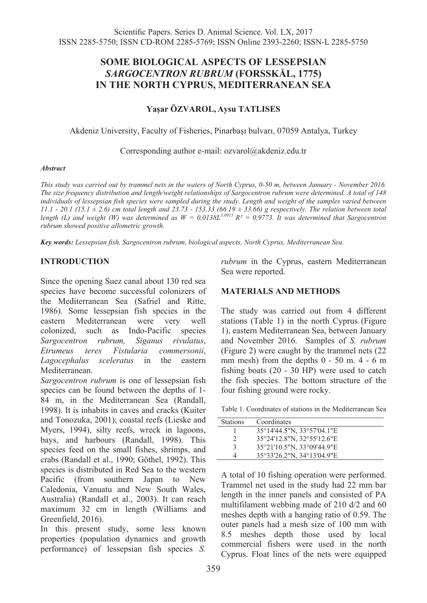# **SOME BIOLOGICAL ASPECTS OF LESSEPSIAN**  *SARGOCENTRON RUBRUM* **(FORSSKÅL, 1775) IN THE NORTH CYPRUS, MEDITERRANEAN SEA**

### **Yaşar ÖZVAROL, Aysu TATLISES**

Akdeniz University, Faculty of Fisheries, Pinarbaşı bulvarı, 07059 Antalya, Turkey

Corresponding author e-mail: ozvarol@akdeniz.edu.tr

#### *Abstract*

*This study was carried out by trammel nets in the waters of North Cyprus, 0-50 m, between January - November 2016. The size frequency distribution and length/weight relationships of Sargocentron rubrum were determined. A total of 148 individuals of lessepsian fish species were sampled during the study. Length and weight of the samples varied between*  11.1 - 20.1 (15.1 ± 2.6) cm total length and 23.73 - 153.33 (66.19 ± 33.66) g respectively. The relation between total<br>length (L) and weight (W) was determined as  $W = 0.0138L^{3.0915} R^2 = 0.9773$ . It was determined that Sa *rubrum showed positive allometric growth.* 

*Key words: Lessepsian fish, Sargocentron rubrum, biological aspects, North Cyprus, Mediterranean Sea.* 

### **INTRODUCTION**

Since the opening Suez canal about 130 red sea species have become successful colonizers of the Mediterranean Sea (Safriel and Ritte, 1986). Some lessepsian fish species in the eastern Mediterranean were very well colonized, such as Indo-Pacific species *Sargocentron rubrum, Siganus rivulatus*, *Etrumeus teres Fistularia commersonii*, *Lagocephalus sceleratus* in the eastern Mediterranean.

*Sargocentron rubrum* is one of lessepsian fish species can be found between the depths of 1- 84 m, in the Mediterranean Sea (Randall, 1998). It is inhabits in caves and cracks (Kuiter and Tonozuka, 2001); coastal reefs (Lieske and Myers, 1994), silty reefs, wreck in lagoons, bays, and harbours (Randall, 1998). This species feed on the small fishes, shrimps, and crabs (Randall et al., 1990; Göthel, 1992). This species is distributed in Red Sea to the western Pacific (from southern Japan to New Caledonia, Vanuatu and New South Wales, Australia) (Randall et al., 2003). It can reach maximum 32 cm in length (Williams and Greenfield, 2016).

In this present study, some less known properties (population dynamics and growth performance) of lessepsian fish species *S.*  *rubrum* in the Cyprus, eastern Mediterranean Sea were reported.

#### **MATERIALS AND METHODS**

The study was carried out from 4 different stations (Table 1) in the north Cyprus (Figure 1), eastern Mediterranean Sea, between January and November 2016. Samples of *S. rubrum*  (Figure 2) were caught by the trammel nets (22 mm mesh) from the depths 0 - 50 m. 4 - 6 m fishing boats (20 - 30 HP) were used to catch the fish species. The bottom structure of the four fishing ground were rocky.

Table 1. Coordinates of stations in the Mediterranean Sea

| <b>Stations</b> | Coordinates                |
|-----------------|----------------------------|
|                 | 35°14'44.5"N, 33°57'04.1"E |
|                 | 35°24′12.8″N, 32°55′12.6″E |
| κ               | 35°21'10.5"N, 33°09'44.9"E |
|                 | 35°33'26.2"N, 34°13'04.9"E |

A total of 10 fishing operation were performed. Trammel net used in the study had 22 mm bar length in the inner panels and consisted of PA multifilament webbing made of 210 d/2 and 60 meshes depth with a hanging ratio of 0.59. The outer panels had a mesh size of 100 mm with 8.5 meshes depth those used by local commercial fishers were used in the north Cyprus. Float lines of the nets were equipped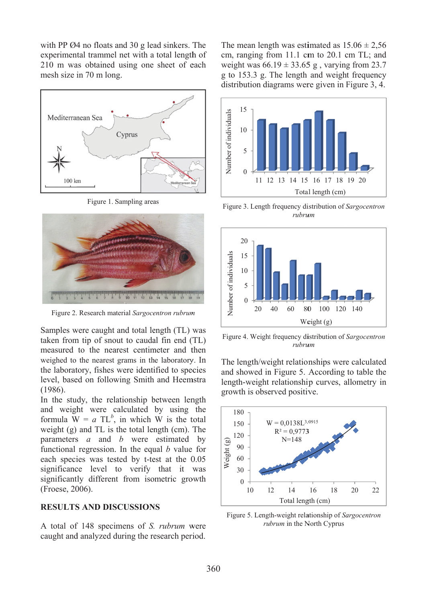with PP Ø4 no floats and 30 g lead sinkers. The experimental trammel net with a total length of 210 m was obtained using one sheet of each mesh size in 70 m long.



Figure 1. S Sampling area as



Figure 2. Research material Sargocentron rubrum

Samples were caught and total length (TL) was taken from tip of snout to caudal fin end (TL) measured to the nearest centimeter and then weighed to the nearest grams in the laboratory. In the laboratory, fishes were identified to species level, based on following Smith and Heemstra (1986).

In the study, the relationship between length and weigh ht were c calculated by using the formula  $W = a TL<sup>b</sup>$ , in which W is the total weight  $(g)$  and TL is the total length  $(cm)$ . The parameters s *a* and *b* were estimated by functional regression. In the equal *b* value for each species was tested by t-test at the 0.05 significance level to verify that it was significantly different from isometric growth (Froese, 20 006).

## **RESULTS AND DISCUSSIONS**

A total of 148 specimens of *S. rubrum* were caught and analyzed during the research period. The mean length was estimated as  $15.06 \pm 2,56$ cm, ranging from 11.1 cm to 20.1 cm TL; and weight was  $66.19 \pm 33.65$  g, varying from 23.7 g to 153.3 g. The length and weight frequency dis tribution di agrams wer re given in F Figure 3, 4.



Figure 3. Length frequency distribution of *Sargocentron rubru um*



Figure 4. Weight frequency distribution of *Sargocentron rubru um*

The length/weight relationships were calculated and showed in Figure 5. According to table the length-weight relationship curves, allometry in growth is observed positive.



igure 5. Length-weight relationship of Sargocentron *ru brum* in the N North Cyprus